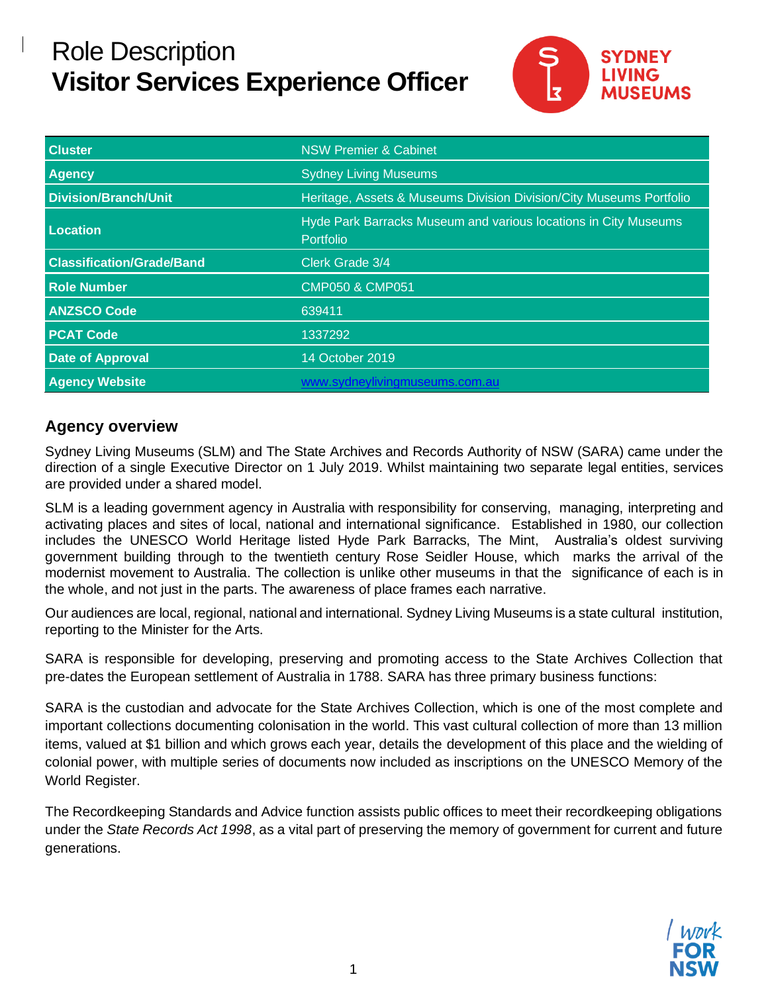# Role Description **Visitor Services Experience Officer**



| <b>Cluster</b>                   | <b>NSW Premier &amp; Cabinet</b>                                             |  |
|----------------------------------|------------------------------------------------------------------------------|--|
| <b>Agency</b>                    | <b>Sydney Living Museums</b>                                                 |  |
| <b>Division/Branch/Unit</b>      | Heritage, Assets & Museums Division Division/City Museums Portfolio          |  |
| Location                         | Hyde Park Barracks Museum and various locations in City Museums<br>Portfolio |  |
| <b>Classification/Grade/Band</b> | Clerk Grade 3/4                                                              |  |
| <b>Role Number</b>               | <b>CMP050 &amp; CMP051</b>                                                   |  |
| <b>ANZSCO Code</b>               | 639411                                                                       |  |
| <b>PCAT Code</b>                 | 1337292                                                                      |  |
| <b>Date of Approval</b>          | 14 October 2019                                                              |  |
| <b>Agency Website</b>            | www.sydneylivingmuseums.com.au                                               |  |

#### **Agency overview**

Sydney Living Museums (SLM) and The State Archives and Records Authority of NSW (SARA) came under the direction of a single Executive Director on 1 July 2019. Whilst maintaining two separate legal entities, services are provided under a shared model.

SLM is a leading government agency in Australia with responsibility for conserving, managing, interpreting and activating places and sites of local, national and international significance. Established in 1980, our collection includes the UNESCO World Heritage listed Hyde Park Barracks, The Mint, Australia's oldest surviving government building through to the twentieth century Rose Seidler House, which marks the arrival of the modernist movement to Australia. The collection is unlike other museums in that the significance of each is in the whole, and not just in the parts. The awareness of place frames each narrative.

Our audiences are local, regional, national and international. Sydney Living Museums is a state cultural institution, reporting to the Minister for the Arts.

SARA is responsible for developing, preserving and promoting access to the State Archives Collection that pre-dates the European settlement of Australia in 1788. SARA has three primary business functions:

SARA is the custodian and advocate for the State Archives Collection, which is one of the most complete and important collections documenting colonisation in the world. This vast cultural collection of more than 13 million items, valued at \$1 billion and which grows each year, details the development of this place and the wielding of colonial power, with multiple series of documents now included as inscriptions on the UNESCO Memory of the World Register.

The Recordkeeping Standards and Advice function assists public offices to meet their recordkeeping obligations under the *State Records Act 1998*, as a vital part of preserving the memory of government for current and future generations.

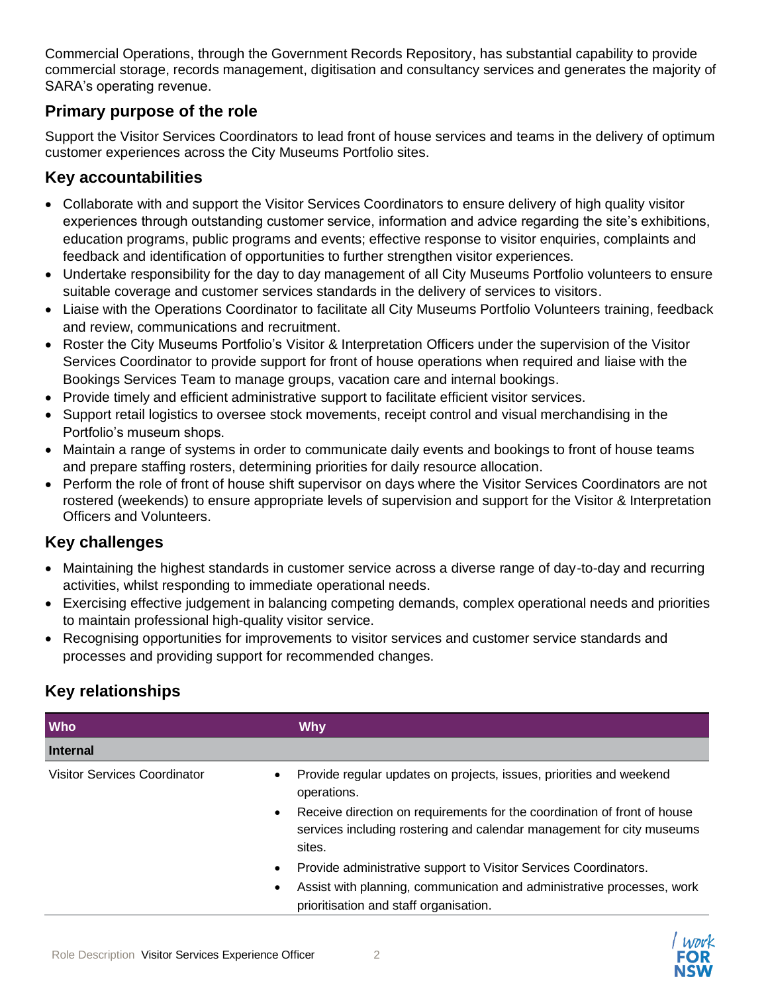Commercial Operations, through the Government Records Repository, has substantial capability to provide commercial storage, records management, digitisation and consultancy services and generates the majority of SARA's operating revenue.

# **Primary purpose of the role**

Support the Visitor Services Coordinators to lead front of house services and teams in the delivery of optimum customer experiences across the City Museums Portfolio sites.

#### **Key accountabilities**

- Collaborate with and support the Visitor Services Coordinators to ensure delivery of high quality visitor experiences through outstanding customer service, information and advice regarding the site's exhibitions, education programs, public programs and events; effective response to visitor enquiries, complaints and feedback and identification of opportunities to further strengthen visitor experiences.
- Undertake responsibility for the day to day management of all City Museums Portfolio volunteers to ensure suitable coverage and customer services standards in the delivery of services to visitors.
- Liaise with the Operations Coordinator to facilitate all City Museums Portfolio Volunteers training, feedback and review, communications and recruitment.
- Roster the City Museums Portfolio's Visitor & Interpretation Officers under the supervision of the Visitor Services Coordinator to provide support for front of house operations when required and liaise with the Bookings Services Team to manage groups, vacation care and internal bookings.
- Provide timely and efficient administrative support to facilitate efficient visitor services.
- Support retail logistics to oversee stock movements, receipt control and visual merchandising in the Portfolio's museum shops.
- Maintain a range of systems in order to communicate daily events and bookings to front of house teams and prepare staffing rosters, determining priorities for daily resource allocation.
- Perform the role of front of house shift supervisor on days where the Visitor Services Coordinators are not rostered (weekends) to ensure appropriate levels of supervision and support for the Visitor & Interpretation Officers and Volunteers.

# **Key challenges**

- Maintaining the highest standards in customer service across a diverse range of day-to-day and recurring activities, whilst responding to immediate operational needs.
- Exercising effective judgement in balancing competing demands, complex operational needs and priorities to maintain professional high-quality visitor service.
- Recognising opportunities for improvements to visitor services and customer service standards and processes and providing support for recommended changes.

# **Key relationships**

| <b>Who</b>                          | <b>Why</b>                                                                                                                                                                                                                                                     |
|-------------------------------------|----------------------------------------------------------------------------------------------------------------------------------------------------------------------------------------------------------------------------------------------------------------|
| <b>Internal</b>                     |                                                                                                                                                                                                                                                                |
| <b>Visitor Services Coordinator</b> | Provide regular updates on projects, issues, priorities and weekend<br>operations.<br>Receive direction on requirements for the coordination of front of house<br>$\bullet$<br>services including rostering and calendar management for city museums<br>sites. |
|                                     | Provide administrative support to Visitor Services Coordinators.<br>Assist with planning, communication and administrative processes, work<br>$\bullet$<br>prioritisation and staff organisation.                                                              |

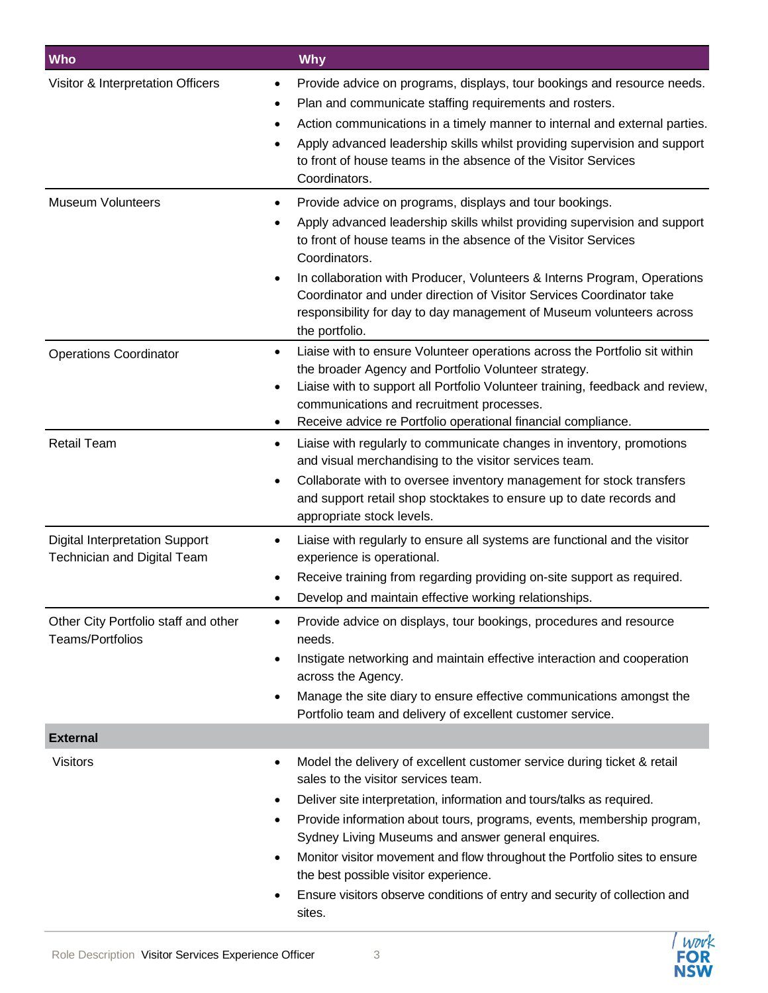| Who                                                                         | <b>Why</b>                                                                                                                                                                                                                                                                                                                                                                                                                                                                                                                                                                                                                                                                                           |
|-----------------------------------------------------------------------------|------------------------------------------------------------------------------------------------------------------------------------------------------------------------------------------------------------------------------------------------------------------------------------------------------------------------------------------------------------------------------------------------------------------------------------------------------------------------------------------------------------------------------------------------------------------------------------------------------------------------------------------------------------------------------------------------------|
| Visitor & Interpretation Officers<br><b>Museum Volunteers</b>               | Provide advice on programs, displays, tour bookings and resource needs.<br>Plan and communicate staffing requirements and rosters.<br>Action communications in a timely manner to internal and external parties.<br>Apply advanced leadership skills whilst providing supervision and support<br>$\bullet$<br>to front of house teams in the absence of the Visitor Services<br>Coordinators.<br>Provide advice on programs, displays and tour bookings.<br>Apply advanced leadership skills whilst providing supervision and support<br>to front of house teams in the absence of the Visitor Services<br>Coordinators.<br>In collaboration with Producer, Volunteers & Interns Program, Operations |
|                                                                             | Coordinator and under direction of Visitor Services Coordinator take<br>responsibility for day to day management of Museum volunteers across<br>the portfolio.                                                                                                                                                                                                                                                                                                                                                                                                                                                                                                                                       |
| <b>Operations Coordinator</b>                                               | Liaise with to ensure Volunteer operations across the Portfolio sit within<br>the broader Agency and Portfolio Volunteer strategy.<br>Liaise with to support all Portfolio Volunteer training, feedback and review,<br>communications and recruitment processes.<br>Receive advice re Portfolio operational financial compliance.<br>٠                                                                                                                                                                                                                                                                                                                                                               |
| <b>Retail Team</b>                                                          | Liaise with regularly to communicate changes in inventory, promotions<br>٠<br>and visual merchandising to the visitor services team.<br>Collaborate with to oversee inventory management for stock transfers<br>and support retail shop stocktakes to ensure up to date records and<br>appropriate stock levels.                                                                                                                                                                                                                                                                                                                                                                                     |
| <b>Digital Interpretation Support</b><br><b>Technician and Digital Team</b> | Liaise with regularly to ensure all systems are functional and the visitor<br>experience is operational.<br>Receive training from regarding providing on-site support as required.<br>Develop and maintain effective working relationships.                                                                                                                                                                                                                                                                                                                                                                                                                                                          |
| Other City Portfolio staff and other<br>Teams/Portfolios                    | Provide advice on displays, tour bookings, procedures and resource<br>needs.<br>Instigate networking and maintain effective interaction and cooperation<br>٠<br>across the Agency.<br>Manage the site diary to ensure effective communications amongst the<br>Portfolio team and delivery of excellent customer service.                                                                                                                                                                                                                                                                                                                                                                             |
| <b>External</b>                                                             |                                                                                                                                                                                                                                                                                                                                                                                                                                                                                                                                                                                                                                                                                                      |
| <b>Visitors</b>                                                             | Model the delivery of excellent customer service during ticket & retail<br>٠<br>sales to the visitor services team.<br>Deliver site interpretation, information and tours/talks as required.<br>٠<br>Provide information about tours, programs, events, membership program,<br>٠<br>Sydney Living Museums and answer general enquires.<br>Monitor visitor movement and flow throughout the Portfolio sites to ensure<br>٠<br>the best possible visitor experience.<br>Ensure visitors observe conditions of entry and security of collection and<br>٠<br>sites.                                                                                                                                      |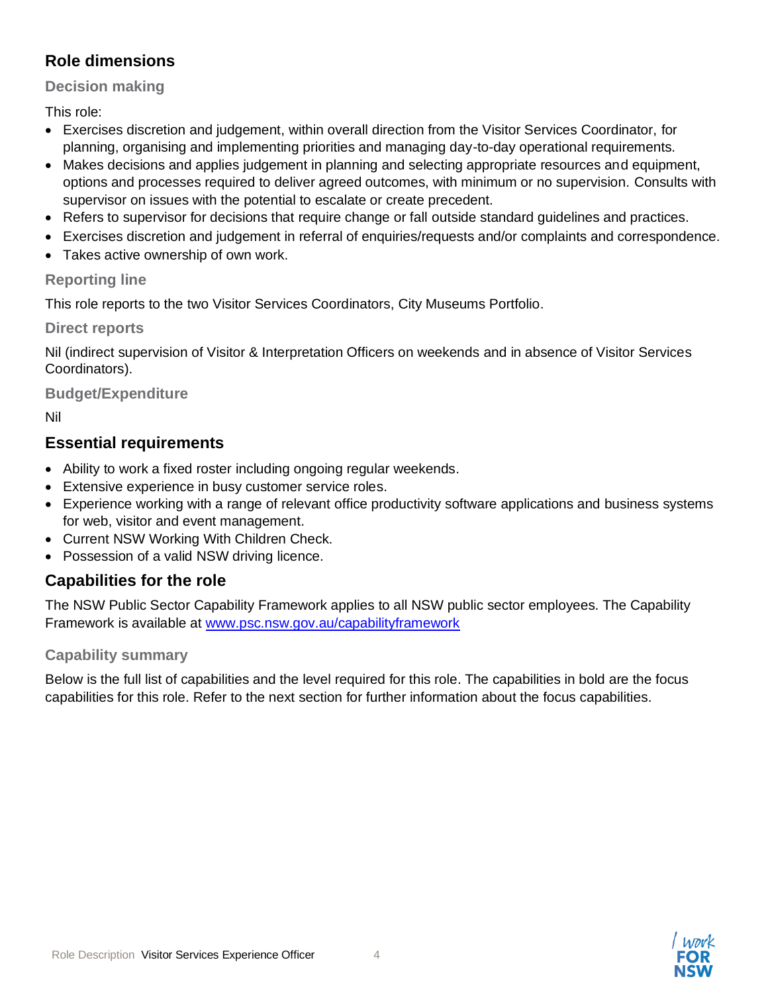# **Role dimensions**

#### **Decision making**

This role:

- Exercises discretion and judgement, within overall direction from the Visitor Services Coordinator, for planning, organising and implementing priorities and managing day-to-day operational requirements.
- Makes decisions and applies judgement in planning and selecting appropriate resources and equipment, options and processes required to deliver agreed outcomes, with minimum or no supervision. Consults with supervisor on issues with the potential to escalate or create precedent.
- Refers to supervisor for decisions that require change or fall outside standard guidelines and practices.
- Exercises discretion and judgement in referral of enquiries/requests and/or complaints and correspondence.
- Takes active ownership of own work.

#### **Reporting line**

This role reports to the two Visitor Services Coordinators, City Museums Portfolio.

**Direct reports**

Nil (indirect supervision of Visitor & Interpretation Officers on weekends and in absence of Visitor Services Coordinators).

#### **Budget/Expenditure**

Nil

# **Essential requirements**

- Ability to work a fixed roster including ongoing regular weekends.
- Extensive experience in busy customer service roles.
- Experience working with a range of relevant office productivity software applications and business systems for web, visitor and event management.
- Current NSW Working With Children Check.
- Possession of a valid NSW driving licence.

# **Capabilities for the role**

The NSW Public Sector Capability Framework applies to all NSW public sector employees. The Capability Framework is available at [www.psc.nsw.gov.au/capabilityframework](http://www.psc.nsw.gov.au/capabilityframework)

#### **Capability summary**

Below is the full list of capabilities and the level required for this role. The capabilities in bold are the focus capabilities for this role. Refer to the next section for further information about the focus capabilities.

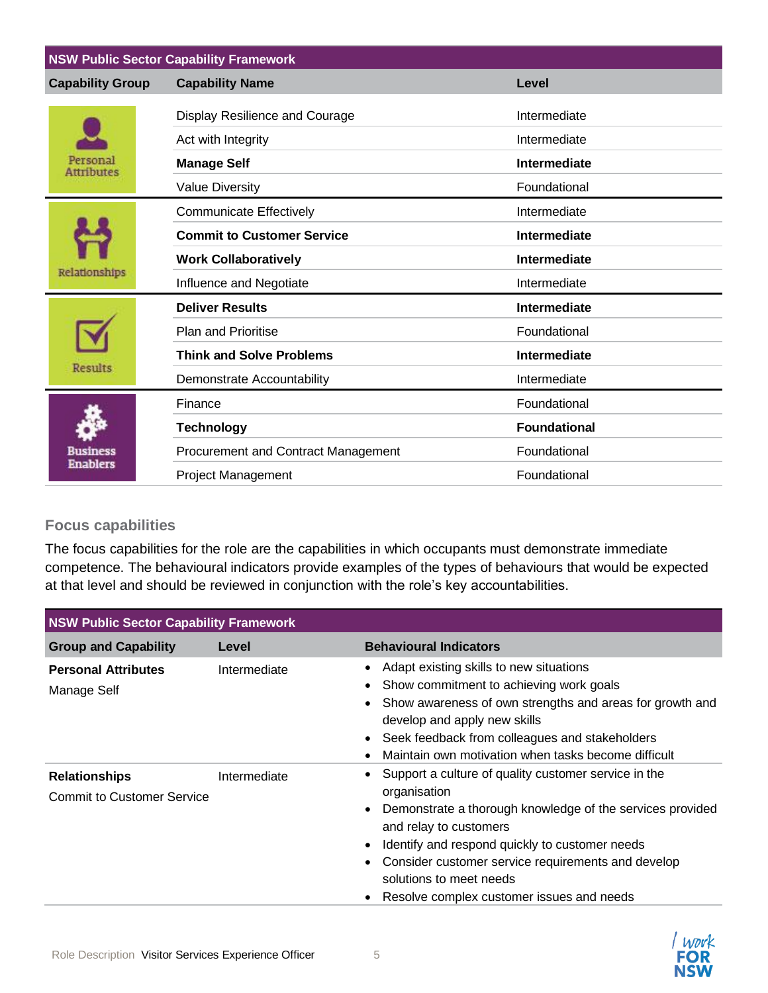| <b>NSW Public Sector Capability Framework</b> |                                     |                     |  |
|-----------------------------------------------|-------------------------------------|---------------------|--|
| <b>Capability Group</b>                       | <b>Capability Name</b>              | Level               |  |
| Jersonal<br><b>Attributes</b>                 | Display Resilience and Courage      | Intermediate        |  |
|                                               | Act with Integrity                  | Intermediate        |  |
|                                               | <b>Manage Self</b>                  | <b>Intermediate</b> |  |
|                                               | <b>Value Diversity</b>              | Foundational        |  |
| Relationships                                 | <b>Communicate Effectively</b>      | Intermediate        |  |
|                                               | <b>Commit to Customer Service</b>   | Intermediate        |  |
|                                               | <b>Work Collaboratively</b>         | Intermediate        |  |
|                                               | Influence and Negotiate             | Intermediate        |  |
| <b>Results</b>                                | <b>Deliver Results</b>              | Intermediate        |  |
|                                               | <b>Plan and Prioritise</b>          | Foundational        |  |
|                                               | <b>Think and Solve Problems</b>     | <b>Intermediate</b> |  |
|                                               | Demonstrate Accountability          | Intermediate        |  |
| lusiness<br><b>Enablers</b>                   | Finance                             | Foundational        |  |
|                                               | <b>Technology</b>                   | <b>Foundational</b> |  |
|                                               | Procurement and Contract Management | Foundational        |  |
|                                               | <b>Project Management</b>           | Foundational        |  |

#### **Focus capabilities**

The focus capabilities for the role are the capabilities in which occupants must demonstrate immediate competence. The behavioural indicators provide examples of the types of behaviours that would be expected at that level and should be reviewed in conjunction with the role's key accountabilities.

| <b>NSW Public Sector Capability Framework</b>                             |              |                                                                                                                                                                                                                                                                                                                                                                                              |  |
|---------------------------------------------------------------------------|--------------|----------------------------------------------------------------------------------------------------------------------------------------------------------------------------------------------------------------------------------------------------------------------------------------------------------------------------------------------------------------------------------------------|--|
| <b>Group and Capability</b>                                               | Level        | <b>Behavioural Indicators</b>                                                                                                                                                                                                                                                                                                                                                                |  |
| <b>Personal Attributes</b><br>Manage Self                                 | Intermediate | Adapt existing skills to new situations<br>$\bullet$<br>Show commitment to achieving work goals<br>$\bullet$<br>Show awareness of own strengths and areas for growth and<br>٠<br>develop and apply new skills<br>Seek feedback from colleagues and stakeholders<br>$\bullet$<br>Maintain own motivation when tasks become difficult<br>$\bullet$                                             |  |
| <b>Relationships</b><br>Intermediate<br><b>Commit to Customer Service</b> |              | Support a culture of quality customer service in the<br>٠<br>organisation<br>Demonstrate a thorough knowledge of the services provided<br>$\bullet$<br>and relay to customers<br>Identify and respond quickly to customer needs<br>$\bullet$<br>Consider customer service requirements and develop<br>$\bullet$<br>solutions to meet needs<br>Resolve complex customer issues and needs<br>٠ |  |